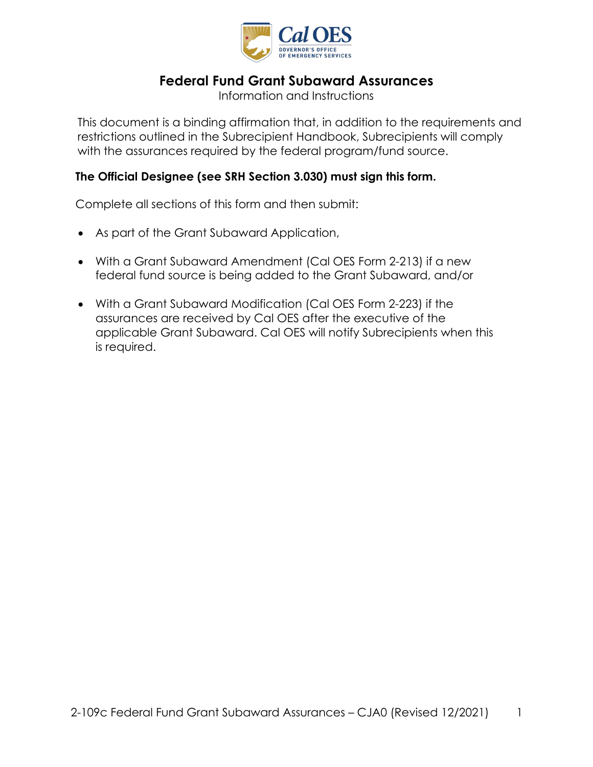

# **Federal Fund Grant Subaward Assurances**

Information and Instructions

This document is a binding affirmation that, in addition to the requirements and restrictions outlined in the Subrecipient Handbook, Subrecipients will comply with the assurances required by the federal program/fund source.

### **The Official Designee (see SRH Section 3.030) must sign this form.**

Complete all sections of this form and then submit:

- As part of the Grant Subaward Application,
- With a Grant Subaward Amendment (Cal OES Form 2-213) if a new federal fund source is being added to the Grant Subaward, and/or
- With a Grant Subaward Modification (Cal OES Form 2-223) if the assurances are received by Cal OES after the executive of the applicable Grant Subaward. Cal OES will notify Subrecipients when this is required.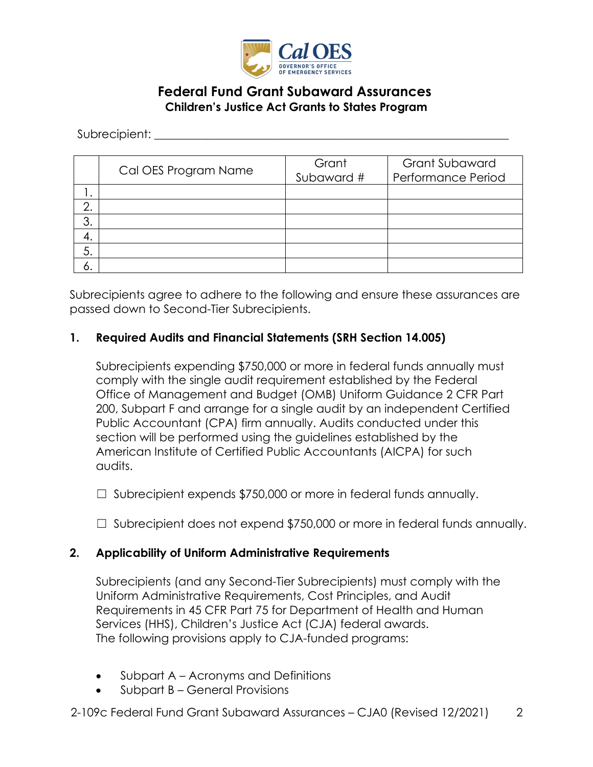

### **Federal Fund Grant Subaward Assurances Children's Justice Act Grants to States Program**

Subrecipient: \_\_\_\_\_\_\_\_\_\_\_\_\_\_\_\_\_\_\_\_\_\_\_\_\_\_\_\_\_\_\_\_\_\_\_\_\_\_\_\_\_\_\_\_\_\_\_\_\_\_\_\_\_\_\_\_\_\_\_\_\_

|    | Cal OES Program Name | Grant<br>Subaward # | <b>Grant Subaward</b><br>Performance Period |
|----|----------------------|---------------------|---------------------------------------------|
|    |                      |                     |                                             |
| ⌒  |                      |                     |                                             |
| 3. |                      |                     |                                             |
| 4. |                      |                     |                                             |
| 5. |                      |                     |                                             |
| о. |                      |                     |                                             |

Subrecipients agree to adhere to the following and ensure these assurances are passed down to Second-Tier Subrecipients.

#### **1. Required Audits and Financial Statements (SRH Section 14.005)**

Subrecipients expending \$750,000 or more in federal funds annually must comply with the single audit requirement established by the Federal Office of Management and Budget (OMB) Uniform Guidance 2 CFR Part 200, Subpart F and arrange for a single audit by an independent Certified Public Accountant (CPA) firm annually. Audits conducted under this section will be performed using the guidelines established by the American Institute of Certified Public Accountants (AICPA) for such audits.

 $\Box$  Subrecipient expends \$750,000 or more in federal funds annually.

☐ Subrecipient does not expend \$750,000 or more in federal funds annually.

#### **2. Applicability of Uniform Administrative Requirements**

Subrecipients (and any Second-Tier Subrecipients) must comply with the Uniform Administrative Requirements, Cost Principles, and Audit Requirements in 45 CFR Part 75 for Department of Health and Human Services (HHS), Children's Justice Act (CJA) federal awards. The following provisions apply to CJA-funded programs:

- Subpart A Acronyms and Definitions
- Subpart B General Provisions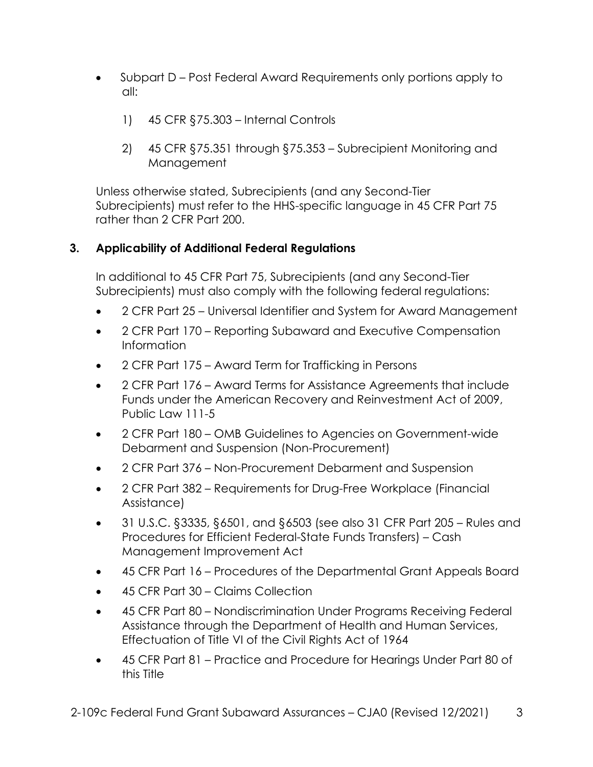- Subpart D Post Federal Award Requirements only portions apply to all:
	- 1) 45 CFR §75.303 Internal Controls
	- 2) 45 CFR §75.351 through §75.353 Subrecipient Monitoring and Management

Unless otherwise stated, Subrecipients (and any Second-Tier Subrecipients) must refer to the HHS-specific language in 45 CFR Part 75 rather than 2 CFR Part 200.

### **3. Applicability of Additional Federal Regulations**

In additional to 45 CFR Part 75, Subrecipients (and any Second-Tier Subrecipients) must also comply with the following federal regulations:

- 2 CFR Part 25 Universal Identifier and System for Award Management
- 2 CFR Part 170 Reporting Subaward and Executive Compensation Information
- 2 CFR Part 175 Award Term for Trafficking in Persons
- 2 CFR Part 176 Award Terms for Assistance Agreements that include Funds under the American Recovery and Reinvestment Act of 2009, Public Law 111-5
- 2 CFR Part 180 OMB Guidelines to Agencies on Government-wide Debarment and Suspension (Non-Procurement)
- 2 CFR Part 376 Non-Procurement Debarment and Suspension
- 2 CFR Part 382 Requirements for Drug-Free Workplace (Financial Assistance)
- 31 U.S.C. §3335, §6501, and §6503 (see also 31 CFR Part 205 Rules and Procedures for Efficient Federal-State Funds Transfers) – Cash Management Improvement Act
- 45 CFR Part 16 Procedures of the Departmental Grant Appeals Board
- 45 CFR Part 30 Claims Collection
- 45 CFR Part 80 Nondiscrimination Under Programs Receiving Federal Assistance through the Department of Health and Human Services, Effectuation of Title VI of the Civil Rights Act of 1964
- 45 CFR Part 81 Practice and Procedure for Hearings Under Part 80 of this Title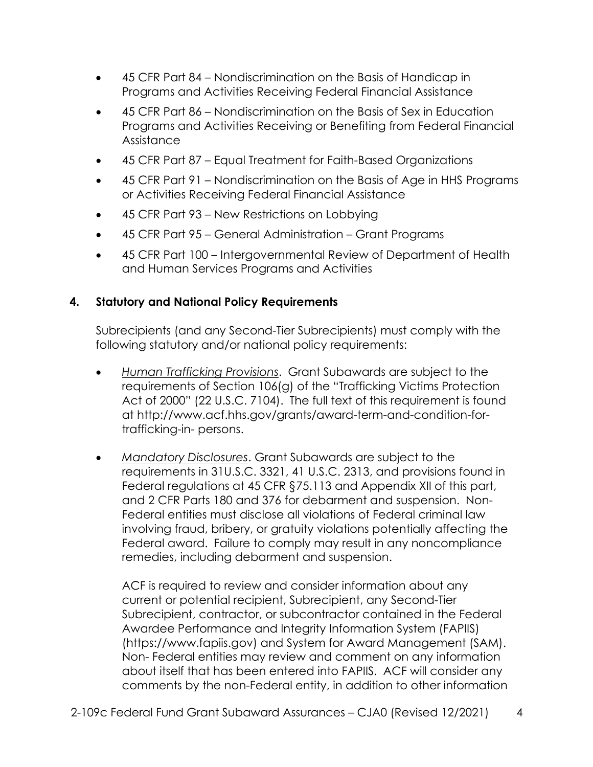- 45 CFR Part 84 Nondiscrimination on the Basis of Handicap in Programs and Activities Receiving Federal Financial Assistance
- 45 CFR Part 86 Nondiscrimination on the Basis of Sex in Education Programs and Activities Receiving or Benefiting from Federal Financial Assistance
- 45 CFR Part 87 Equal Treatment for Faith-Based Organizations
- 45 CFR Part 91 Nondiscrimination on the Basis of Age in HHS Programs or Activities Receiving Federal Financial Assistance
- 45 CFR Part 93 New Restrictions on Lobbying
- 45 CFR Part 95 General Administration Grant Programs
- 45 CFR Part 100 Intergovernmental Review of Department of Health and Human Services Programs and Activities

## **4. Statutory and National Policy Requirements**

Subrecipients (and any Second-Tier Subrecipients) must comply with the following statutory and/or national policy requirements:

- *Human Trafficking Provisions*. Grant Subawards are subject to the requirements of Section 106(g) of the "Trafficking Victims Protection Act of 2000" (22 U.S.C. 7104). The full text of this requirement is found at [http://www.acf.hhs.gov/grants/award-term-and-condition-for](http://www.acf.hhs.gov/grants/award-term-and-condition-for-trafficking-in-persons)[trafficking-in-](http://www.acf.hhs.gov/grants/award-term-and-condition-for-trafficking-in-persons) [persons.](http://www.acf.hhs.gov/grants/award-term-and-condition-for-trafficking-in-persons)
- *Mandatory Disclosures*. Grant Subawards are subject to the requirements in 31U.S.C. 3321, 41 U.S.C. 2313, and provisions found in Federal regulations at 45 CFR §75.113 and Appendix XII of this part, and 2 CFR Parts 180 and 376 for debarment and suspension. Non-Federal entities must disclose all violations of Federal criminal law involving fraud, bribery, or gratuity violations potentially affecting the Federal award. Failure to comply may result in any noncompliance remedies, including debarment and suspension.

ACF is required to review and consider information about any current or potential recipient, Subrecipient, any Second-Tier Subrecipient, contractor, or subcontractor contained in the Federal Awardee Performance and Integrity Information System (FAPIIS) [\(https://www.fapiis.gov\)](https://www.fapiis.gov/) and System for Award Management (SAM). Non- Federal entities may review and comment on any information about itself that has been entered into FAPIIS. ACF will consider any comments by the non-Federal entity, in addition to other information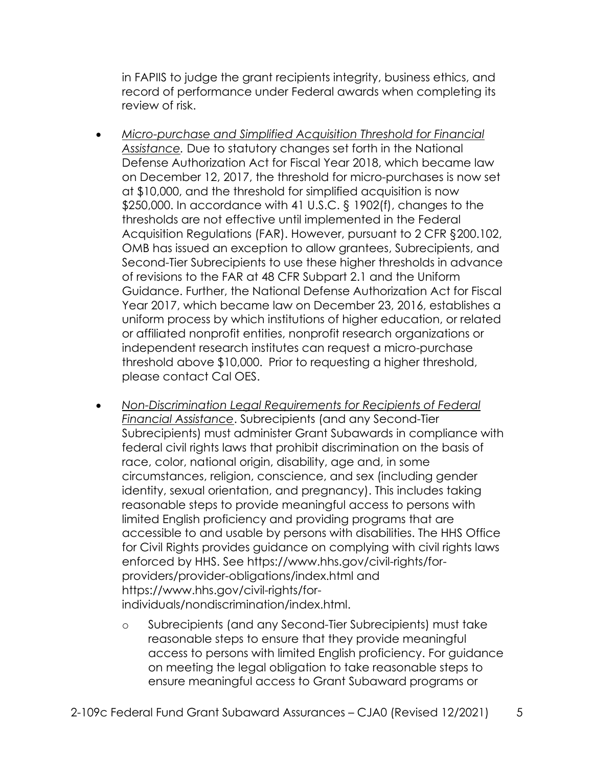in FAPIIS to judge the grant recipients integrity, business ethics, and record of performance under Federal awards when completing its review of risk.

- *Micro-purchase and Simplified Acquisition Threshold for Financial Assistance.* Due to statutory changes set forth in the National Defense Authorization Act for Fiscal Year 2018, which became law on December 12, 2017, the threshold for micro-purchases is now set at \$10,000, and the threshold for simplified acquisition is now \$250,000. In accordance with 41 U.S.C. § 1902(f), changes to the thresholds are not effective until implemented in the Federal Acquisition Regulations (FAR). However, pursuant to [2 CFR §200.102,](https://www.ecfr.gov/cgi-bin/text-idx?SID=8e7878de8bb27595ede935fd43a89ff4&mc=true&node=se2.1.200_1102&rgn=div8) OMB has issued an exception to allow grantees, Subrecipients, and Second-Tier Subrecipients to use these higher thresholds in advance of revisions to the FAR at 48 CFR Subpart 2.1 and the Uniform Guidance. Further, the National Defense Authorization Act for Fiscal Year 2017, which became law on December 23, 2016, establishes a uniform process by which institutions of higher education, or related or affiliated nonprofit entities, nonprofit research organizations or independent research institutes can request a micro-purchase threshold above \$10,000. Prior to requesting a higher threshold, please contact Cal OES.
- *Non-Discrimination Legal Requirements for Recipients of Federal Financial Assistance*. Subrecipients (and any Second-Tier Subrecipients) must administer Grant Subawards in compliance with federal civil rights laws that prohibit discrimination on the basis of race, color, national origin, disability, age and, in some circumstances, religion, conscience, and sex (including gender identity, sexual orientation, and pregnancy). This includes taking reasonable steps to provide meaningful access to persons with limited English proficiency and providing programs that are accessible to and usable by persons with disabilities. The HHS Office for Civil Rights provides guidance on complying with civil rights laws enforced by HHS. See [https://www.hhs.gov/civil-rights/for](https://www.hhs.gov/civil-rights/for-providers/provider-obligations/index.html)[providers/provider-obligations/index.html](https://www.hhs.gov/civil-rights/for-providers/provider-obligations/index.html) and [https://www.hhs.gov/civil-rights/for](https://www.hhs.gov/civil-rights/for-individuals/nondiscrimination/index.html)[individuals/nondiscrimination/index.html.](https://www.hhs.gov/civil-rights/for-individuals/nondiscrimination/index.html)
	- o Subrecipients (and any Second-Tier Subrecipients) must take reasonable steps to ensure that they provide meaningful access to persons with limited English proficiency. For guidance on meeting the legal obligation to take reasonable steps to ensure meaningful access to Grant Subaward programs or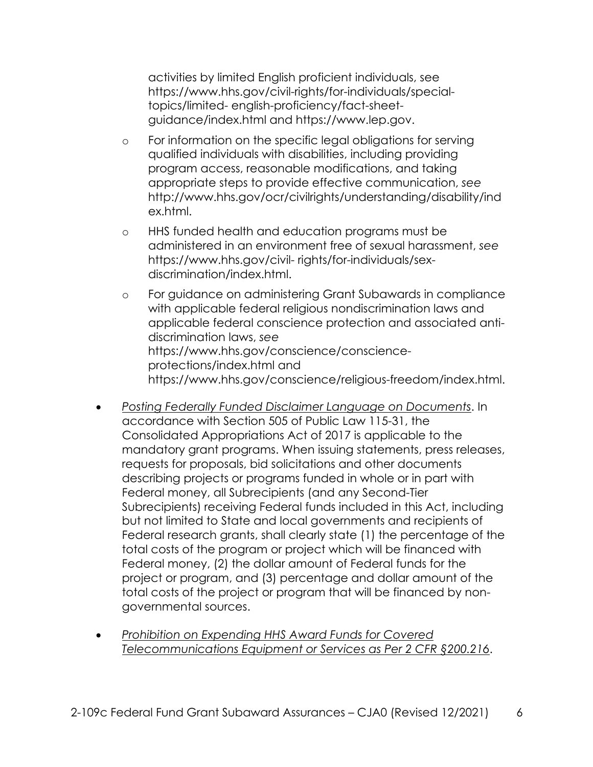activities by limited English proficient individuals, see [https://www.hhs.gov/civil-rights/for-individuals/special](https://www.hhs.gov/civil-rights/for-individuals/special-topics/limited-english-proficiency/fact-sheet-guidance/index.html)[topics/limited-](https://www.hhs.gov/civil-rights/for-individuals/special-topics/limited-english-proficiency/fact-sheet-guidance/index.html) [english-proficiency/fact-sheet](https://www.hhs.gov/civil-rights/for-individuals/special-topics/limited-english-proficiency/fact-sheet-guidance/index.html)[guidance/index.html a](https://www.hhs.gov/civil-rights/for-individuals/special-topics/limited-english-proficiency/fact-sheet-guidance/index.html)nd [https://www.lep.gov.](https://www.lep.gov/)

- o For information on the specific legal obligations for serving qualified individuals with disabilities, including providing program access, reasonable modifications, and taking appropriate steps to provide effective communication, *see* [http://www.hhs.gov/ocr/civilrights/understanding/disability/ind](http://www.hhs.gov/ocr/civilrights/understanding/disability/index.html) [ex.html.](http://www.hhs.gov/ocr/civilrights/understanding/disability/index.html)
- o HHS funded health and education programs must be administered in an environment free of sexual harassment, *see* [https://www.hhs.gov/civil-](https://www.hhs.gov/civil-rights/for-individuals/sex-discrimination/index.html) [rights/for-individuals/sex](https://www.hhs.gov/civil-rights/for-individuals/sex-discrimination/index.html)[discrimination/index.html.](https://www.hhs.gov/civil-rights/for-individuals/sex-discrimination/index.html)
- o For guidance on administering Grant Subawards in compliance with applicable federal religious nondiscrimination laws and applicable federal conscience protection and associated antidiscrimination laws, *see* [https://www.hhs.gov/conscience/conscience](https://www.hhs.gov/conscience/conscience-protections/index.html)[protections/index.html a](https://www.hhs.gov/conscience/conscience-protections/index.html)nd [https://www.hhs.gov/conscience/religious-freedom/index.html.](https://www.hhs.gov/conscience/religious-freedom/index.html)
- *Posting Federally Funded Disclaimer Language on Documents*. In accordance with Section 505 of Public Law 115-31, the Consolidated Appropriations Act of 2017 is applicable to the mandatory grant programs. When issuing statements, press releases, requests for proposals, bid solicitations and other documents describing projects or programs funded in whole or in part with Federal money, all Subrecipients (and any Second-Tier Subrecipients) receiving Federal funds included in this Act, including but not limited to State and local governments and recipients of Federal research grants, shall clearly state (1) the percentage of the total costs of the program or project which will be financed with Federal money, (2) the dollar amount of Federal funds for the project or program, and (3) percentage and dollar amount of the total costs of the project or program that will be financed by nongovernmental sources.
- *Prohibition on Expending HHS Award Funds for Covered Telecommunications Equipment or Services as Per 2 CFR §200.216*.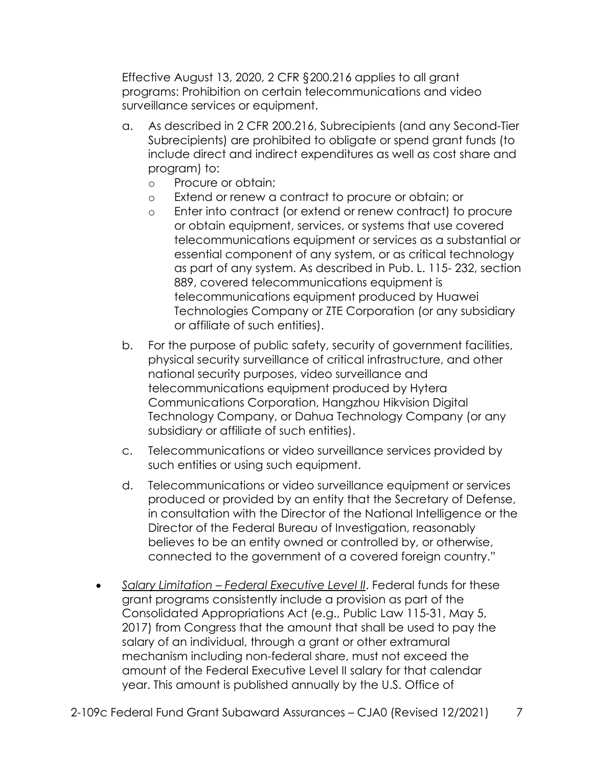Effective August 13, 2020, 2 CFR §200.216 applies to all grant programs: Prohibition on certain telecommunications and video surveillance services or equipment.

- a. As described in 2 CFR 200.216, Subrecipients (and any Second-Tier Subrecipients) are prohibited to obligate or spend grant funds (to include direct and indirect expenditures as well as cost share and program) to:
	- o Procure or obtain;
	- o Extend or renew a contract to procure or obtain; or
	- o Enter into contract (or extend or renew contract) to procure or obtain equipment, services, or systems that use covered telecommunications equipment or services as a substantial or essential component of any system, or as critical technology as part of any system. As described in Pub. L. 115- 232, section 889, covered telecommunications equipment is telecommunications equipment produced by Huawei Technologies Company or ZTE Corporation (or any subsidiary or affiliate of such entities).
- b. For the purpose of public safety, security of government facilities, physical security surveillance of critical infrastructure, and other national security purposes, video surveillance and telecommunications equipment produced by Hytera Communications Corporation, Hangzhou Hikvision Digital Technology Company, or Dahua Technology Company (or any subsidiary or affiliate of such entities).
- c. Telecommunications or video surveillance services provided by such entities or using such equipment.
- d. Telecommunications or video surveillance equipment or services produced or provided by an entity that the Secretary of Defense, in consultation with the Director of the National Intelligence or the Director of the Federal Bureau of Investigation, reasonably believes to be an entity owned or controlled by, or otherwise, connected to the government of a covered foreign country."
- *Salary Limitation Federal Executive Level II*. Federal funds for these grant programs consistently include a provision as part of the Consolidated Appropriations Act (e.g., Public Law 115-31, May 5, 2017) from Congress that the amount that shall be used to pay the salary of an individual, through a grant or other extramural mechanism including non-federal share, must not exceed the amount of the Federal Executive Level II salary for that calendar year. This amount is published annually by the U.S. Office of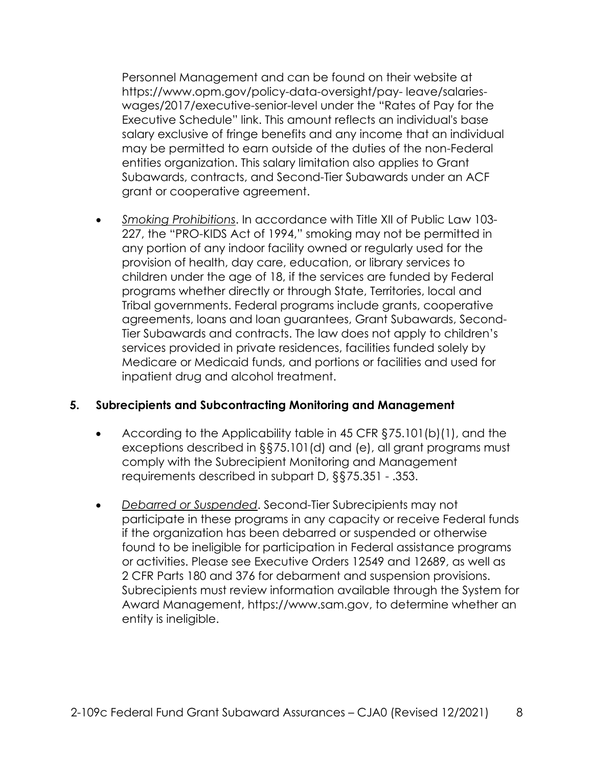Personnel Management and can be found on their website at [https://www.opm.gov/policy-data-oversight/pay-](https://www.opm.gov/policy-data-oversight/pay-leave/salaries-wages/2017/executive-senior-level) [leave/salaries](https://www.opm.gov/policy-data-oversight/pay-leave/salaries-wages/2017/executive-senior-level)[wages/2017/executive-senior-level u](https://www.opm.gov/policy-data-oversight/pay-leave/salaries-wages/2017/executive-senior-level)nder the "Rates of Pay for the Executive Schedule" link. This amount reflects an individual's base salary exclusive of fringe benefits and any income that an individual may be permitted to earn outside of the duties of the non-Federal entities organization. This salary limitation also applies to Grant Subawards, contracts, and Second-Tier Subawards under an ACF grant or cooperative agreement.

• *Smoking Prohibitions*. In accordance with Title XII of Public Law 103- 227, the "PRO-KIDS Act of 1994," smoking may not be permitted in any portion of any indoor facility owned or regularly used for the provision of health, day care, education, or library services to children under the age of 18, if the services are funded by Federal programs whether directly or through State, Territories, local and Tribal governments. Federal programs include grants, cooperative agreements, loans and loan guarantees, Grant Subawards, Second-Tier Subawards and contracts. The law does not apply to children's services provided in private residences, facilities funded solely by Medicare or Medicaid funds, and portions or facilities and used for inpatient drug and alcohol treatment.

#### **5. Subrecipients and Subcontracting Monitoring and Management**

- According to the Applicability table in 45 CFR §75.101(b)(1), and the exceptions described in §§75.101(d) and (e), all grant programs must comply with the Subrecipient Monitoring and Management requirements described in subpart D, §§75.351 - .353.
- *Debarred or Suspended*. Second-Tier Subrecipients may not participate in these programs in any capacity or receive Federal funds if the organization has been debarred or suspended or otherwise found to be ineligible for participation in Federal assistance programs or activities. Please see Executive Orders 12549 and 12689, as well as 2 CFR Parts 180 and 376 for debarment and suspension provisions. Subrecipients must review information available through the System for Award Management, [https://www.sam.gov,](https://www.sam.gov/) to determine whether an entity is ineligible.